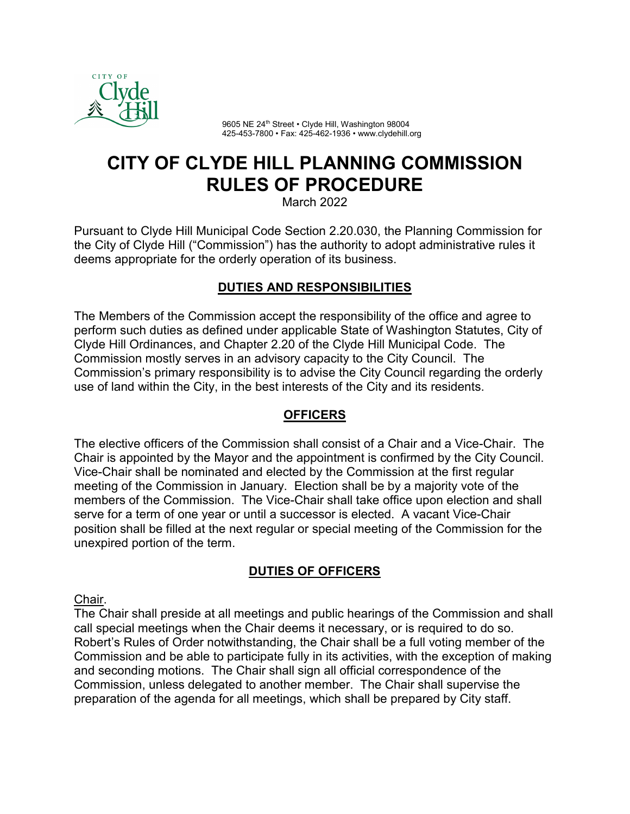

9605 NE 24<sup>th</sup> Street • Clyde Hill, Washington 98004 425-453-7800 • Fax: 425-462-1936 • www.clydehill.org

# **CITY OF CLYDE HILL PLANNING COMMISSION RULES OF PROCEDURE**

March 2022

Pursuant to Clyde Hill Municipal Code Section 2.20.030, the Planning Commission for the City of Clyde Hill ("Commission") has the authority to adopt administrative rules it deems appropriate for the orderly operation of its business.

## **DUTIES AND RESPONSIBILITIES**

The Members of the Commission accept the responsibility of the office and agree to perform such duties as defined under applicable State of Washington Statutes, City of Clyde Hill Ordinances, and Chapter 2.20 of the Clyde Hill Municipal Code. The Commission mostly serves in an advisory capacity to the City Council. The Commission's primary responsibility is to advise the City Council regarding the orderly use of land within the City, in the best interests of the City and its residents.

# **OFFICERS**

The elective officers of the Commission shall consist of a Chair and a Vice-Chair. The Chair is appointed by the Mayor and the appointment is confirmed by the City Council. Vice-Chair shall be nominated and elected by the Commission at the first regular meeting of the Commission in January. Election shall be by a majority vote of the members of the Commission. The Vice-Chair shall take office upon election and shall serve for a term of one year or until a successor is elected. A vacant Vice-Chair position shall be filled at the next regular or special meeting of the Commission for the unexpired portion of the term.

# **DUTIES OF OFFICERS**

Chair.

The Chair shall preside at all meetings and public hearings of the Commission and shall call special meetings when the Chair deems it necessary, or is required to do so. Robert's Rules of Order notwithstanding, the Chair shall be a full voting member of the Commission and be able to participate fully in its activities, with the exception of making and seconding motions. The Chair shall sign all official correspondence of the Commission, unless delegated to another member. The Chair shall supervise the preparation of the agenda for all meetings, which shall be prepared by City staff.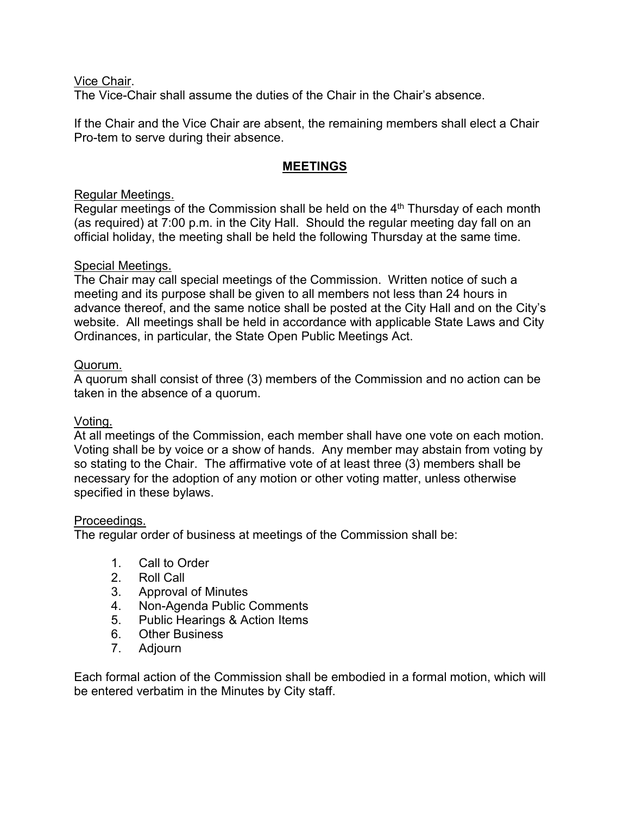Vice Chair.

The Vice-Chair shall assume the duties of the Chair in the Chair's absence.

If the Chair and the Vice Chair are absent, the remaining members shall elect a Chair Pro-tem to serve during their absence.

## **MEETINGS**

## Regular Meetings.

Regular meetings of the Commission shall be held on the  $4<sup>th</sup>$  Thursday of each month (as required) at 7:00 p.m. in the City Hall. Should the regular meeting day fall on an official holiday, the meeting shall be held the following Thursday at the same time.

#### Special Meetings.

The Chair may call special meetings of the Commission. Written notice of such a meeting and its purpose shall be given to all members not less than 24 hours in advance thereof, and the same notice shall be posted at the City Hall and on the City's website. All meetings shall be held in accordance with applicable State Laws and City Ordinances, in particular, the State Open Public Meetings Act.

#### Quorum.

A quorum shall consist of three (3) members of the Commission and no action can be taken in the absence of a quorum.

## Voting.

At all meetings of the Commission, each member shall have one vote on each motion. Voting shall be by voice or a show of hands. Any member may abstain from voting by so stating to the Chair. The affirmative vote of at least three (3) members shall be necessary for the adoption of any motion or other voting matter, unless otherwise specified in these bylaws.

#### Proceedings.

The regular order of business at meetings of the Commission shall be:

- 1. Call to Order
- Roll Call
- 3. Approval of Minutes
- 4. Non-Agenda Public Comments
- 5. Public Hearings & Action Items
- 6. Other Business
- 7. Adjourn

Each formal action of the Commission shall be embodied in a formal motion, which will be entered verbatim in the Minutes by City staff.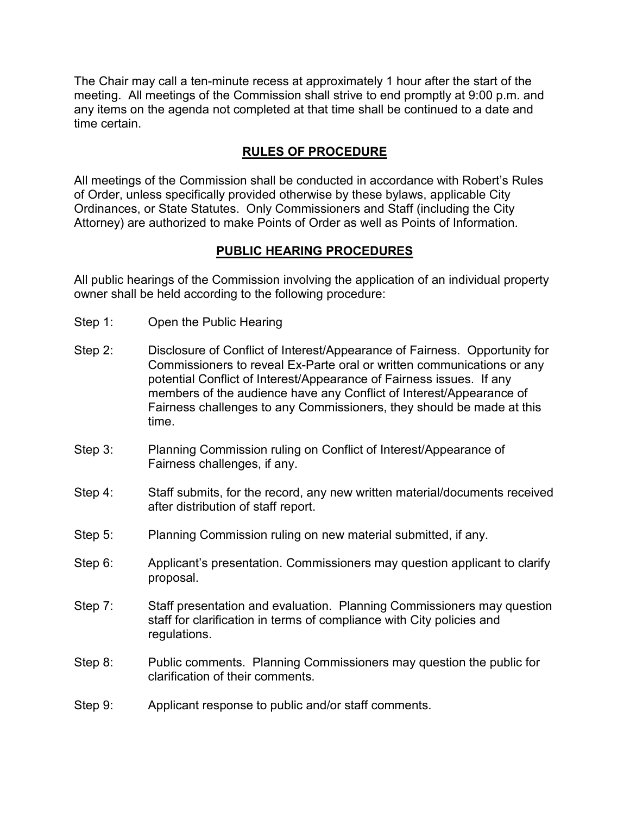The Chair may call a ten-minute recess at approximately 1 hour after the start of the meeting. All meetings of the Commission shall strive to end promptly at 9:00 p.m. and any items on the agenda not completed at that time shall be continued to a date and time certain.

## **RULES OF PROCEDURE**

All meetings of the Commission shall be conducted in accordance with Robert's Rules of Order, unless specifically provided otherwise by these bylaws, applicable City Ordinances, or State Statutes. Only Commissioners and Staff (including the City Attorney) are authorized to make Points of Order as well as Points of Information.

#### **PUBLIC HEARING PROCEDURES**

All public hearings of the Commission involving the application of an individual property owner shall be held according to the following procedure:

- Step 1: Open the Public Hearing
- Step 2: Disclosure of Conflict of Interest/Appearance of Fairness. Opportunity for Commissioners to reveal Ex-Parte oral or written communications or any potential Conflict of Interest/Appearance of Fairness issues. If any members of the audience have any Conflict of Interest/Appearance of Fairness challenges to any Commissioners, they should be made at this time.
- Step 3: Planning Commission ruling on Conflict of Interest/Appearance of Fairness challenges, if any.
- Step 4: Staff submits, for the record, any new written material/documents received after distribution of staff report.
- Step 5: Planning Commission ruling on new material submitted, if any.
- Step 6: Applicant's presentation. Commissioners may question applicant to clarify proposal.
- Step 7: Staff presentation and evaluation. Planning Commissioners may question staff for clarification in terms of compliance with City policies and regulations.
- Step 8: Public comments. Planning Commissioners may question the public for clarification of their comments.
- Step 9: Applicant response to public and/or staff comments.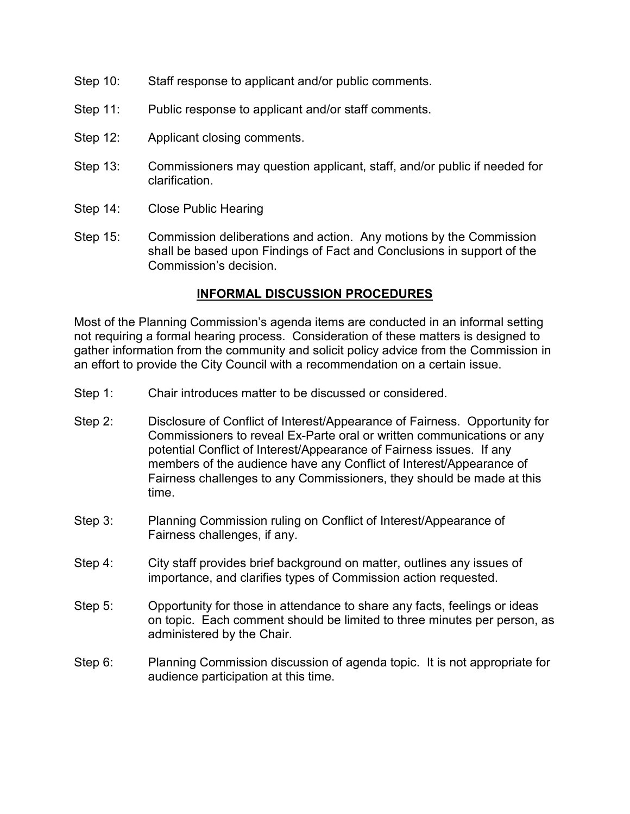- Step 10: Staff response to applicant and/or public comments.
- Step 11: Public response to applicant and/or staff comments.
- Step 12: Applicant closing comments.
- Step 13: Commissioners may question applicant, staff, and/or public if needed for clarification.
- Step 14: Close Public Hearing
- Step 15: Commission deliberations and action. Any motions by the Commission shall be based upon Findings of Fact and Conclusions in support of the Commission's decision.

#### **INFORMAL DISCUSSION PROCEDURES**

Most of the Planning Commission's agenda items are conducted in an informal setting not requiring a formal hearing process. Consideration of these matters is designed to gather information from the community and solicit policy advice from the Commission in an effort to provide the City Council with a recommendation on a certain issue.

- Step 1: Chair introduces matter to be discussed or considered.
- Step 2: Disclosure of Conflict of Interest/Appearance of Fairness. Opportunity for Commissioners to reveal Ex-Parte oral or written communications or any potential Conflict of Interest/Appearance of Fairness issues. If any members of the audience have any Conflict of Interest/Appearance of Fairness challenges to any Commissioners, they should be made at this time.
- Step 3: Planning Commission ruling on Conflict of Interest/Appearance of Fairness challenges, if any.
- Step 4: City staff provides brief background on matter, outlines any issues of importance, and clarifies types of Commission action requested.
- Step 5: Opportunity for those in attendance to share any facts, feelings or ideas on topic. Each comment should be limited to three minutes per person, as administered by the Chair.
- Step 6: Planning Commission discussion of agenda topic. It is not appropriate for audience participation at this time.